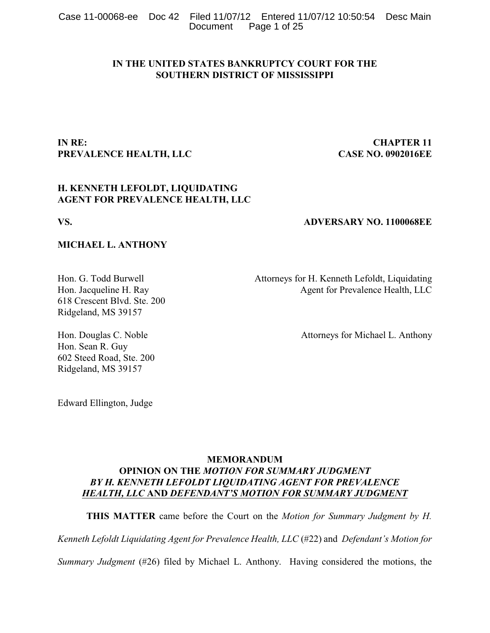Case 11-00068-ee Doc 42 Filed 11/07/12 Entered 11/07/12 10:50:54 Desc Main Page 1 of 25

# **IN THE UNITED STATES BANKRUPTCY COURT FOR THE SOUTHERN DISTRICT OF MISSISSIPPI**

# **IN RE: CHAPTER 11 PREVALENCE HEALTH, LLC CASE NO. 0902016EE**

# **H. KENNETH LEFOLDT, LIQUIDATING AGENT FOR PREVALENCE HEALTH, LLC**

# **VS. ADVERSARY NO. 1100068EE**

# **MICHAEL L. ANTHONY**

618 Crescent Blvd. Ste. 200 Ridgeland, MS 39157

Hon. G. Todd Burwell **Attorneys** for H. Kenneth Lefoldt, Liquidating Hon. Jacqueline H. Ray Agent for Prevalence Health, LLC

Hon. Douglas C. Noble Attorneys for Michael L. Anthony

Hon. Sean R. Guy 602 Steed Road, Ste. 200 Ridgeland, MS 39157

Edward Ellington, Judge

# **MEMORANDUM OPINION ON THE** *MOTION FOR SUMMARY JUDGMENT BY H. KENNETH LEFOLDT LIQUIDATING AGENT FOR PREVALENCE HEALTH, LLC* **AND** *DEFENDANT'S MOTION FOR SUMMARY JUDGMENT*

**THIS MATTER** came before the Court on the *Motion for Summary Judgment by H.*

*Kenneth Lefoldt Liquidating Agent for Prevalence Health, LLC* (#22) and *Defendant's Motion for*

*Summary Judgment* (#26) filed by Michael L. Anthony. Having considered the motions, the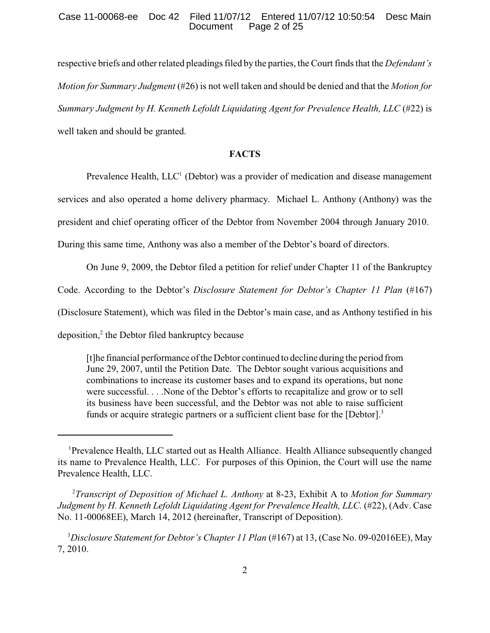#### Case 11-00068-ee Doc 42 Filed 11/07/12 Entered 11/07/12 10:50:54 Desc Main<br>Document Page 2 of 25 Page 2 of 25

respective briefs and other related pleadings filed by the parties, the Court finds that the *Defendant's Motion for Summary Judgment* (#26) is not well taken and should be denied and that the *Motion for Summary Judgment by H. Kenneth Lefoldt Liquidating Agent for Prevalence Health, LLC* (#22) is well taken and should be granted.

# **FACTS**

Prevalence Health,  $LLC<sup>1</sup>$  (Debtor) was a provider of medication and disease management

services and also operated a home delivery pharmacy. Michael L. Anthony (Anthony) was the

president and chief operating officer of the Debtor from November 2004 through January 2010.

During this same time, Anthony was also a member of the Debtor's board of directors.

On June 9, 2009, the Debtor filed a petition for relief under Chapter 11 of the Bankruptcy

Code. According to the Debtor's *Disclosure Statement for Debtor's Chapter 11 Plan* (#167)

(Disclosure Statement), which was filed in the Debtor's main case, and as Anthony testified in his

deposition, $2$  the Debtor filed bankruptcy because

[t]he financial performance of the Debtor continued to decline during the period from June 29, 2007, until the Petition Date. The Debtor sought various acquisitions and combinations to increase its customer bases and to expand its operations, but none were successful. . . .None of the Debtor's efforts to recapitalize and grow or to sell its business have been successful, and the Debtor was not able to raise sufficient funds or acquire strategic partners or a sufficient client base for the [Debtor].<sup>3</sup>

<sup>&</sup>lt;sup>1</sup>Prevalence Health, LLC started out as Health Alliance. Health Alliance subsequently changed its name to Prevalence Health, LLC. For purposes of this Opinion, the Court will use the name Prevalence Health, LLC.

*Transcript of Deposition of Michael L. Anthony* at 8-23, Exhibit A to *Motion for Summary* <sup>2</sup> *Judgment by H. Kenneth Lefoldt Liquidating Agent for Prevalence Health, LLC.* (#22), (Adv. Case No. 11-00068EE), March 14, 2012 (hereinafter, Transcript of Deposition).

<sup>&</sup>lt;sup>3</sup>Disclosure Statement for Debtor's Chapter 11 Plan (#167) at 13, (Case No. 09-02016EE), May 7, 2010.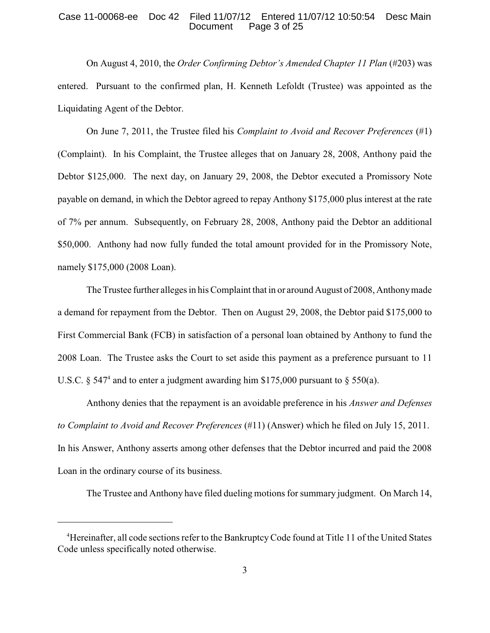#### Case 11-00068-ee Doc 42 Filed 11/07/12 Entered 11/07/12 10:50:54 Desc Main Page 3 of 25

On August 4, 2010, the *Order Confirming Debtor's Amended Chapter 11 Plan* (#203) was entered. Pursuant to the confirmed plan, H. Kenneth Lefoldt (Trustee) was appointed as the Liquidating Agent of the Debtor.

On June 7, 2011, the Trustee filed his *Complaint to Avoid and Recover Preferences* (#1) (Complaint). In his Complaint, the Trustee alleges that on January 28, 2008, Anthony paid the Debtor \$125,000. The next day, on January 29, 2008, the Debtor executed a Promissory Note payable on demand, in which the Debtor agreed to repay Anthony \$175,000 plus interest at the rate of 7% per annum. Subsequently, on February 28, 2008, Anthony paid the Debtor an additional \$50,000. Anthony had now fully funded the total amount provided for in the Promissory Note, namely \$175,000 (2008 Loan).

The Trustee further alleges in his Complaint that in or around August of 2008, Anthonymade a demand for repayment from the Debtor. Then on August 29, 2008, the Debtor paid \$175,000 to First Commercial Bank (FCB) in satisfaction of a personal loan obtained by Anthony to fund the 2008 Loan. The Trustee asks the Court to set aside this payment as a preference pursuant to 11 U.S.C. § 547<sup>4</sup> and to enter a judgment awarding him \$175,000 pursuant to § 550(a).

Anthony denies that the repayment is an avoidable preference in his *Answer and Defenses to Complaint to Avoid and Recover Preferences* (#11) (Answer) which he filed on July 15, 2011. In his Answer, Anthony asserts among other defenses that the Debtor incurred and paid the 2008 Loan in the ordinary course of its business.

The Trustee and Anthony have filed dueling motions for summary judgment. On March 14,

<sup>&</sup>lt;sup>4</sup>Hereinafter, all code sections refer to the Bankruptcy Code found at Title 11 of the United States Code unless specifically noted otherwise.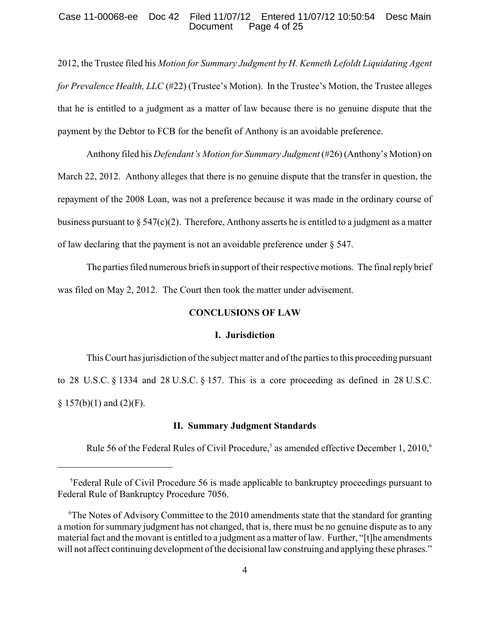#### Case 11-00068-ee Doc 42 Filed 11/07/12 Entered 11/07/12 10:50:54 Desc Main Page 4 of 25

2012, the Trustee filed his *Motion for Summary Judgment by H. Kenneth Lefoldt Liquidating Agent for Prevalence Health, LLC* (#22) (Trustee's Motion). In the Trustee's Motion, the Trustee alleges that he is entitled to a judgment as a matter of law because there is no genuine dispute that the payment by the Debtor to FCB for the benefit of Anthony is an avoidable preference.

Anthony filed his *Defendant's Motion for Summary Judgment* (#26) (Anthony's Motion) on March 22, 2012. Anthony alleges that there is no genuine dispute that the transfer in question, the repayment of the 2008 Loan, was not a preference because it was made in the ordinary course of business pursuant to  $\S 547(c)(2)$ . Therefore, Anthony asserts he is entitled to a judgment as a matter of law declaring that the payment is not an avoidable preference under § 547.

The parties filed numerous briefs in support of their respective motions. The final replybrief was filed on May 2, 2012. The Court then took the matter under advisement.

## **CONCLUSIONS OF LAW**

## **I. Jurisdiction**

This Court has jurisdiction of the subject matter and of the parties to this proceeding pursuant to 28 U.S.C. § 1334 and 28 U.S.C. § 157. This is a core proceeding as defined in 28 U.S.C.  $§ 157(b)(1)$  and  $(2)(F)$ .

#### **II. Summary Judgment Standards**

Rule 56 of the Federal Rules of Civil Procedure,<sup>5</sup> as amended effective December 1, 2010,<sup>6</sup>

 ${}^{5}$ Federal Rule of Civil Procedure 56 is made applicable to bankruptcy proceedings pursuant to Federal Rule of Bankruptcy Procedure 7056.

 $\mathrm{F}$ The Notes of Advisory Committee to the 2010 amendments state that the standard for granting a motion for summary judgment has not changed, that is, there must be no genuine dispute as to any material fact and the movant is entitled to a judgment as a matter of law. Further, "[t]he amendments will not affect continuing development of the decisional law construing and applying these phrases."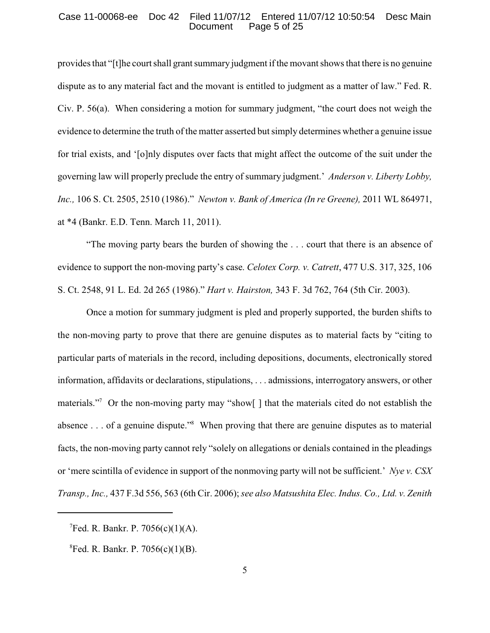#### Case 11-00068-ee Doc 42 Filed 11/07/12 Entered 11/07/12 10:50:54 Desc Main Page 5 of 25

provides that "[t]he court shall grant summary judgment if the movant shows that there is no genuine dispute as to any material fact and the movant is entitled to judgment as a matter of law." Fed. R. Civ. P. 56(a). When considering a motion for summary judgment, "the court does not weigh the evidence to determine the truth of the matter asserted but simply determines whether a genuine issue for trial exists, and '[o]nly disputes over facts that might affect the outcome of the suit under the governing law will properly preclude the entry of summary judgment.' *Anderson v. Liberty Lobby, Inc.,* 106 S. Ct. 2505, 2510 (1986)." *Newton v. Bank of America (In re Greene),* 2011 WL 864971, at \*4 (Bankr. E.D. Tenn. March 11, 2011).

"The moving party bears the burden of showing the . . . court that there is an absence of evidence to support the non-moving party's case. *Celotex Corp. v. Catrett*, 477 U.S. 317, 325, 106 S. Ct. 2548, 91 L. Ed. 2d 265 (1986)." *Hart v. Hairston,* 343 F. 3d 762, 764 (5th Cir. 2003).

Once a motion for summary judgment is pled and properly supported, the burden shifts to the non-moving party to prove that there are genuine disputes as to material facts by "citing to particular parts of materials in the record, including depositions, documents, electronically stored information, affidavits or declarations, stipulations, . . . admissions, interrogatory answers, or other materials."<sup>7</sup> Or the non-moving party may "show[] that the materials cited do not establish the absence . . . of a genuine dispute."<sup>8</sup> When proving that there are genuine disputes as to material facts, the non-moving party cannot rely "solely on allegations or denials contained in the pleadings or 'mere scintilla of evidence in support of the nonmoving party will not be sufficient.' *Nye v. CSX Transp., Inc.,* 437 F.3d 556, 563 (6th Cir. 2006); *see also Matsushita Elec. Indus. Co., Ltd. v. Zenith*

 ${}^{7}$ Fed. R. Bankr. P. 7056(c)(1)(A).

 ${}^{8}$ Fed. R. Bankr. P. 7056(c)(1)(B).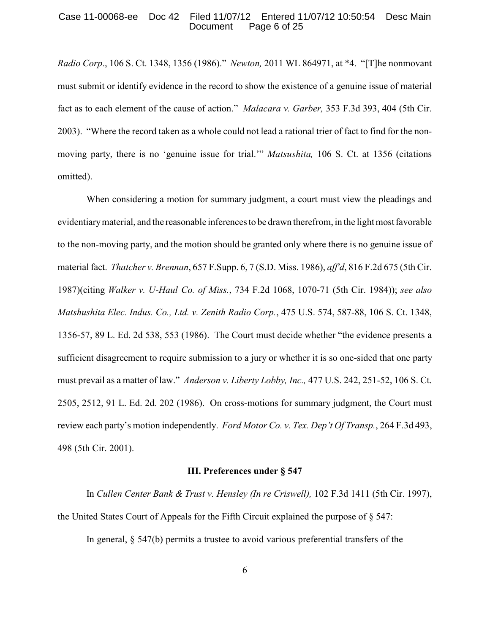#### Case 11-00068-ee Doc 42 Filed 11/07/12 Entered 11/07/12 10:50:54 Desc Main Page 6 of 25

*Radio Corp*., 106 S. Ct. 1348, 1356 (1986)." *Newton,* 2011 WL 864971, at \*4. "[T]he nonmovant must submit or identify evidence in the record to show the existence of a genuine issue of material fact as to each element of the cause of action." *Malacara v. Garber,* 353 F.3d 393, 404 (5th Cir. 2003). "Where the record taken as a whole could not lead a rational trier of fact to find for the nonmoving party, there is no 'genuine issue for trial.'" *Matsushita,* 106 S. Ct. at 1356 (citations omitted).

When considering a motion for summary judgment, a court must view the pleadings and evidentiary material, and the reasonable inferences to be drawn therefrom, in the light most favorable to the non-moving party, and the motion should be granted only where there is no genuine issue of material fact. *Thatcher v. Brennan*, 657 F.Supp. 6, 7 (S.D. Miss. 1986), *aff'd*, 816 F.2d 675 (5th Cir. 1987)(citing *Walker v. U-Haul Co. of Miss.*, 734 F.2d 1068, 1070-71 (5th Cir. 1984)); *see also Matshushita Elec. Indus. Co., Ltd. v. Zenith Radio Corp.*, 475 U.S. 574, 587-88, 106 S. Ct. 1348, 1356-57, 89 L. Ed. 2d 538, 553 (1986). The Court must decide whether "the evidence presents a sufficient disagreement to require submission to a jury or whether it is so one-sided that one party must prevail as a matter of law." *Anderson v. Liberty Lobby, Inc.,* 477 U.S. 242, 251-52, 106 S. Ct. 2505, 2512, 91 L. Ed. 2d. 202 (1986). On cross-motions for summary judgment, the Court must review each party's motion independently. *Ford Motor Co. v. Tex. Dep't Of Transp.*, 264 F.3d 493, 498 (5th Cir. 2001).

#### **III. Preferences under § 547**

In *Cullen Center Bank & Trust v. Hensley (In re Criswell),* 102 F.3d 1411 (5th Cir. 1997), the United States Court of Appeals for the Fifth Circuit explained the purpose of § 547:

In general, § 547(b) permits a trustee to avoid various preferential transfers of the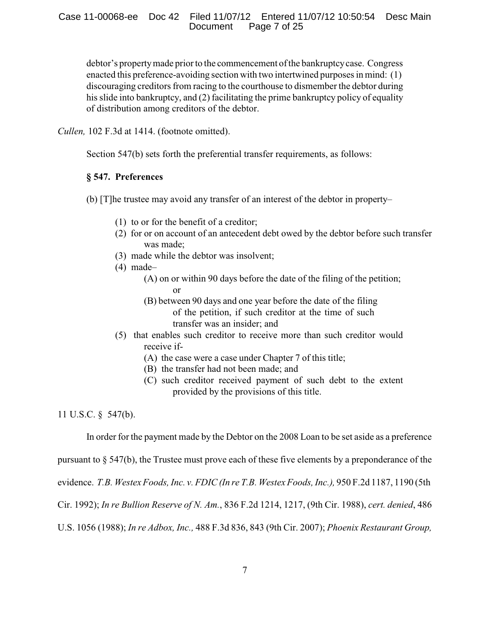debtor's propertymade prior to the commencement of the bankruptcycase. Congress enacted this preference-avoiding section with two intertwined purposes in mind: (1) discouraging creditors from racing to the courthouse to dismember the debtor during his slide into bankruptcy, and (2) facilitating the prime bankruptcy policy of equality of distribution among creditors of the debtor.

*Cullen,* 102 F.3d at 1414. (footnote omitted).

Section 547(b) sets forth the preferential transfer requirements, as follows:

# **§ 547. Preferences**

(b) [T]he trustee may avoid any transfer of an interest of the debtor in property–

- (1) to or for the benefit of a creditor;
- (2) for or on account of an antecedent debt owed by the debtor before such transfer was made;
- (3) made while the debtor was insolvent;
- (4) made–
	- (A) on or within 90 days before the date of the filing of the petition; or
	- (B) between 90 days and one year before the date of the filing of the petition, if such creditor at the time of such transfer was an insider; and
- (5) that enables such creditor to receive more than such creditor would receive if-
	- (A) the case were a case under Chapter 7 of this title;
	- (B) the transfer had not been made; and
	- (C) such creditor received payment of such debt to the extent provided by the provisions of this title.

11 U.S.C. § 547(b).

In order for the payment made by the Debtor on the 2008 Loan to be set aside as a preference

pursuant to  $\S 547(b)$ , the Trustee must prove each of these five elements by a preponderance of the

evidence. *T.B. WestexFoods, Inc. v. FDIC (In re T.B. WestexFoods, Inc.),* 950 F.2d 1187, 1190 (5th

Cir. 1992); *In re Bullion Reserve of N. Am.*, 836 F.2d 1214, 1217, (9th Cir. 1988), *cert. denied*, 486

U.S. 1056 (1988); *In re Adbox, Inc.,* 488 F.3d 836, 843 (9th Cir. 2007); *Phoenix Restaurant Group,*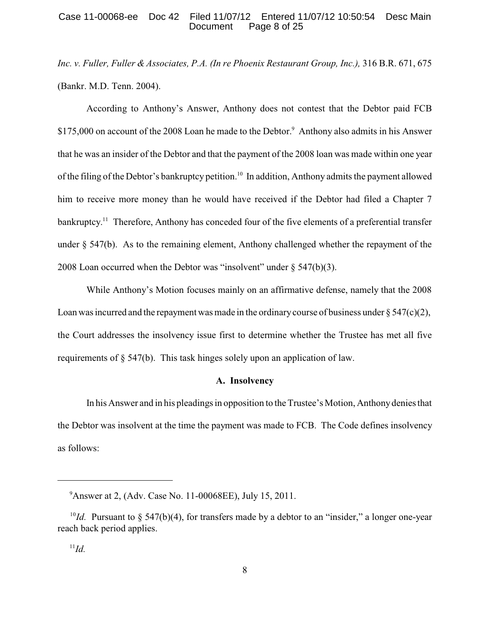#### Case 11-00068-ee Doc 42 Filed 11/07/12 Entered 11/07/12 10:50:54 Desc Main<br>Document Page 8 of 25 Page 8 of 25

*Inc. v. Fuller, Fuller & Associates, P.A. (In re Phoenix Restaurant Group, Inc.),* 316 B.R. 671, 675 (Bankr. M.D. Tenn. 2004).

According to Anthony's Answer, Anthony does not contest that the Debtor paid FCB \$175,000 on account of the 2008 Loan he made to the Debtor.<sup>9</sup> Anthony also admits in his Answer that he was an insider of the Debtor and that the payment of the 2008 loan was made within one year of the filing of the Debtor's bankruptcy petition.<sup>10</sup> In addition, Anthony admits the payment allowed him to receive more money than he would have received if the Debtor had filed a Chapter 7 bankruptcy.<sup>11</sup> Therefore, Anthony has conceded four of the five elements of a preferential transfer under § 547(b). As to the remaining element, Anthony challenged whether the repayment of the 2008 Loan occurred when the Debtor was "insolvent" under § 547(b)(3).

While Anthony's Motion focuses mainly on an affirmative defense, namely that the 2008 Loan was incurred and the repayment was made in the ordinary course of business under  $\S 547(c)(2)$ , the Court addresses the insolvency issue first to determine whether the Trustee has met all five requirements of § 547(b). This task hinges solely upon an application of law.

#### **A. Insolvency**

In his Answer and in his pleadings in opposition to the Trustee's Motion, Anthonydenies that the Debtor was insolvent at the time the payment was made to FCB. The Code defines insolvency as follows:

<sup>&</sup>lt;sup>9</sup> Answer at 2, (Adv. Case No. 11-00068EE), July 15, 2011.

<sup>&</sup>lt;sup>10</sup>*Id.* Pursuant to § 547(b)(4), for transfers made by a debtor to an "insider," a longer one-year reach back period applies.

 $^{11}Id.$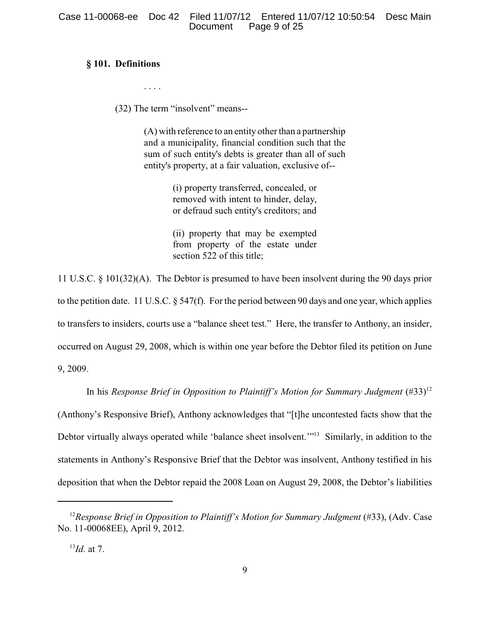# **§ 101. Definitions**

. . . .

(32) The term "insolvent" means--

(A) with reference to an entity other than a partnership and a municipality, financial condition such that the sum of such entity's debts is greater than all of such entity's property, at a fair valuation, exclusive of--

> (i) property transferred, concealed, or removed with intent to hinder, delay, or defraud such entity's creditors; and

> (ii) property that may be exempted from property of the estate under section 522 of this title;

11 U.S.C. § 101(32)(A). The Debtor is presumed to have been insolvent during the 90 days prior to the petition date. 11 U.S.C. § 547(f). For the period between 90 days and one year, which applies to transfers to insiders, courts use a "balance sheet test." Here, the transfer to Anthony, an insider, occurred on August 29, 2008, which is within one year before the Debtor filed its petition on June 9, 2009.

In his *Response Brief in Opposition to Plaintiff's Motion for Summary Judgment* (#33)<sup>12</sup> (Anthony's Responsive Brief), Anthony acknowledges that "[t]he uncontested facts show that the Debtor virtually always operated while 'balance sheet insolvent.'"<sup>13</sup> Similarly, in addition to the statements in Anthony's Responsive Brief that the Debtor was insolvent, Anthony testified in his deposition that when the Debtor repaid the 2008 Loan on August 29, 2008, the Debtor's liabilities

 $^{13}$ *Id.* at 7.

<sup>&</sup>lt;sup>12</sup> Response Brief in Opposition to Plaintiff's Motion for Summary Judgment (#33), (Adv. Case No. 11-00068EE), April 9, 2012.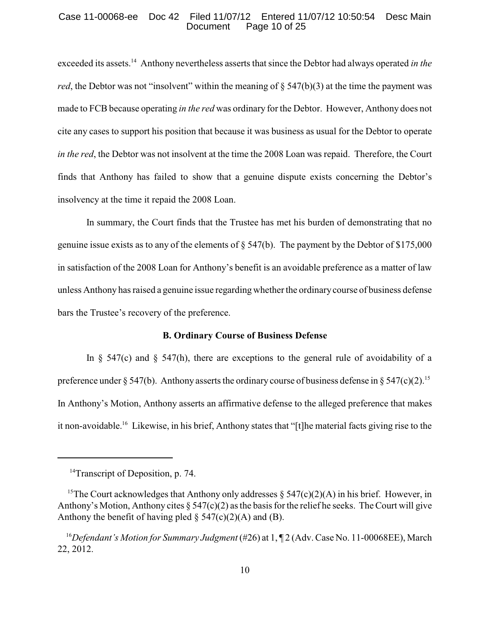#### Case 11-00068-ee Doc 42 Filed 11/07/12 Entered 11/07/12 10:50:54 Desc Main Page 10 of 25

exceeded its assets.<sup>14</sup> Anthony nevertheless asserts that since the Debtor had always operated *in the red*, the Debtor was not "insolvent" within the meaning of  $\S$  547(b)(3) at the time the payment was made to FCB because operating *in the red* was ordinary for the Debtor. However, Anthony does not cite any cases to support his position that because it was business as usual for the Debtor to operate *in the red*, the Debtor was not insolvent at the time the 2008 Loan was repaid. Therefore, the Court finds that Anthony has failed to show that a genuine dispute exists concerning the Debtor's insolvency at the time it repaid the 2008 Loan.

In summary, the Court finds that the Trustee has met his burden of demonstrating that no genuine issue exists as to any of the elements of § 547(b). The payment by the Debtor of \$175,000 in satisfaction of the 2008 Loan for Anthony's benefit is an avoidable preference as a matter of law unless Anthony has raised a genuine issue regarding whether the ordinary course of business defense bars the Trustee's recovery of the preference.

# **B. Ordinary Course of Business Defense**

In  $\S$  547(c) and  $\S$  547(h), there are exceptions to the general rule of avoidability of a preference under § 547(b). Anthony asserts the ordinary course of business defense in § 547(c)(2).<sup>15</sup> In Anthony's Motion, Anthony asserts an affirmative defense to the alleged preference that makes it non-avoidable.<sup>16</sup> Likewise, in his brief, Anthony states that "[t]he material facts giving rise to the

<sup>&</sup>lt;sup>14</sup>Transcript of Deposition, p. 74.

<sup>&</sup>lt;sup>15</sup>The Court acknowledges that Anthony only addresses  $\S$  547(c)(2)(A) in his brief. However, in Anthony's Motion, Anthony cites  $\S 547(c)(2)$  as the basis for the relief he seeks. The Court will give Anthony the benefit of having pled  $\S$  547(c)(2)(A) and (B).

<sup>&</sup>lt;sup>16</sup>Defendant's Motion for Summary Judgment (#26) at 1, ¶ 2 (Adv. Case No. 11-00068EE), March 22, 2012.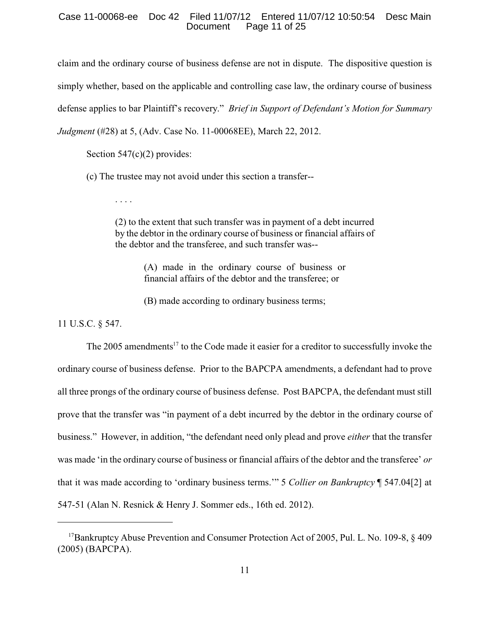#### Case 11-00068-ee Doc 42 Filed 11/07/12 Entered 11/07/12 10:50:54 Desc Main Page 11 of 25

claim and the ordinary course of business defense are not in dispute. The dispositive question is simply whether, based on the applicable and controlling case law, the ordinary course of business defense applies to bar Plaintiff's recovery." *Brief in Support of Defendant's Motion for Summary Judgment* (#28) at 5, (Adv. Case No. 11-00068EE), March 22, 2012.

Section 547(c)(2) provides:

. . . .

(c) The trustee may not avoid under this section a transfer--

(2) to the extent that such transfer was in payment of a debt incurred by the debtor in the ordinary course of business or financial affairs of the debtor and the transferee, and such transfer was--

> (A) made in the ordinary course of business or financial affairs of the debtor and the transferee; or

(B) made according to ordinary business terms;

11 U.S.C. § 547.

The 2005 amendments<sup> $17$ </sup> to the Code made it easier for a creditor to successfully invoke the ordinary course of business defense. Prior to the BAPCPA amendments, a defendant had to prove all three prongs of the ordinary course of business defense. Post BAPCPA, the defendant must still prove that the transfer was "in payment of a debt incurred by the debtor in the ordinary course of business." However, in addition, "the defendant need only plead and prove *either* that the transfer was made 'in the ordinary course of business or financial affairs of the debtor and the transferee' *or* that it was made according to 'ordinary business terms.'" 5 *Collier on Bankruptcy* ¶ 547.04[2] at 547-51 (Alan N. Resnick & Henry J. Sommer eds., 16th ed. 2012).

<sup>&</sup>lt;sup>17</sup> Bankruptcy Abuse Prevention and Consumer Protection Act of 2005, Pul. L. No. 109-8,  $\&$  409 (2005) (BAPCPA).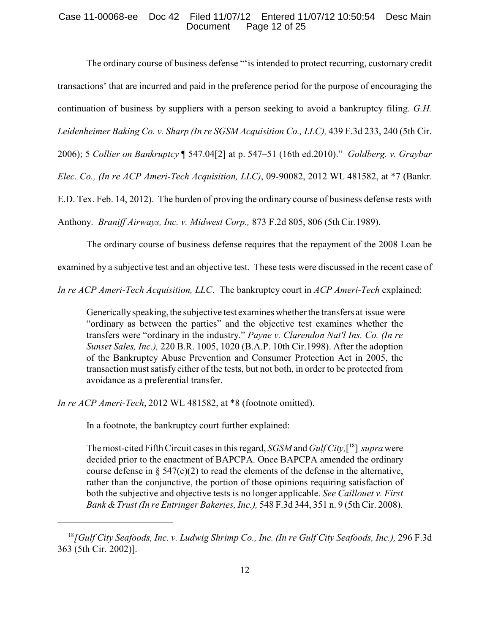## Case 11-00068-ee Doc 42 Filed 11/07/12 Entered 11/07/12 10:50:54 Desc Main Page 12 of 25

The ordinary course of business defense "'is intended to protect recurring, customary credit transactions' that are incurred and paid in the preference period for the purpose of encouraging the continuation of business by suppliers with a person seeking to avoid a bankruptcy filing. *G.H.*

*Leidenheimer Baking Co. v. Sharp (In re SGSM Acquisition Co., LLC),* 439 F.3d 233, 240 (5th Cir.

2006); 5 *Collier on Bankruptcy* ¶ 547.04[2] at p. 547–51 (16th ed.2010)." *Goldberg. v. Graybar*

*Elec. Co., (In re ACP Ameri-Tech Acquisition, LLC)*, 09-90082, 2012 WL 481582, at \*7 (Bankr.

E.D. Tex. Feb. 14, 2012). The burden of proving the ordinary course of business defense rests with

Anthony. *Braniff Airways, Inc. v. Midwest Corp.,* 873 F.2d 805, 806 (5thCir.1989).

The ordinary course of business defense requires that the repayment of the 2008 Loan be

examined by a subjective test and an objective test. These tests were discussed in the recent case of

*In re ACP Ameri-Tech Acquisition, LLC*. The bankruptcy court in *ACP Ameri-Tech* explained:

Generically speaking, the subjective test examines whether the transfers at issue were "ordinary as between the parties" and the objective test examines whether the transfers were "ordinary in the industry." *Payne v. Clarendon Nat'l Ins. Co. (In re Sunset Sales, Inc.),* 220 B.R. 1005, 1020 (B.A.P. 10th Cir.1998). After the adoption of the Bankruptcy Abuse Prevention and Consumer Protection Act in 2005, the transaction must satisfy either of the tests, but not both, in order to be protected from avoidance as a preferential transfer.

*In re ACP Ameri-Tech*, 2012 WL 481582, at \*8 (footnote omitted).

In a footnote, the bankruptcy court further explained:

The most-cited Fifth Circuit cases in this regard, *SGSM* and *Gulf City,*[ ] *supra* were 18 decided prior to the enactment of BAPCPA. Once BAPCPA amended the ordinary course defense in  $\S$  547(c)(2) to read the elements of the defense in the alternative, rather than the conjunctive, the portion of those opinions requiring satisfaction of both the subjective and objective tests is no longer applicable. *See Caillouet v. First Bank &Trust (In re Entringer Bakeries, Inc.),* 548 F.3d 344, 351 n. 9 (5th Cir. 2008).

<sup>&</sup>lt;sup>18</sup> [Gulf City Seafoods, Inc. v. Ludwig Shrimp Co., Inc. (In re Gulf City Seafoods, Inc.), 296 F.3d 363 (5th Cir. 2002)].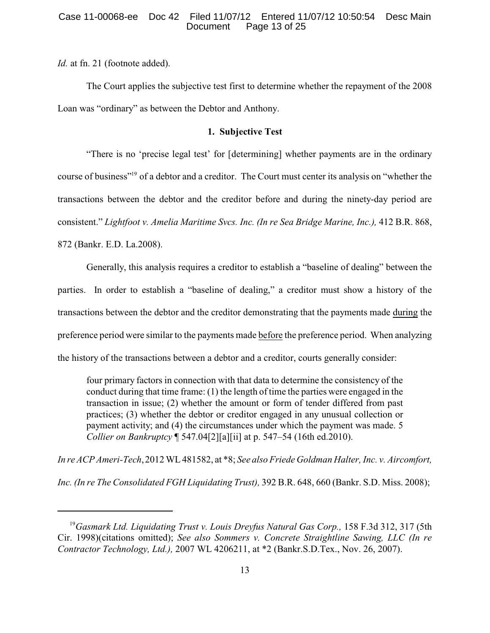*Id.* at fn. 21 (footnote added).

The Court applies the subjective test first to determine whether the repayment of the 2008 Loan was "ordinary" as between the Debtor and Anthony.

# **1. Subjective Test**

"There is no 'precise legal test' for [determining] whether payments are in the ordinary course of business"<sup>19</sup> of a debtor and a creditor. The Court must center its analysis on "whether the transactions between the debtor and the creditor before and during the ninety-day period are consistent." *Lightfoot v. Amelia Maritime Svcs. Inc. (In re Sea Bridge Marine, Inc.),* 412 B.R. 868, 872 (Bankr. E.D. La.2008).

Generally, this analysis requires a creditor to establish a "baseline of dealing" between the parties. In order to establish a "baseline of dealing," a creditor must show a history of the transactions between the debtor and the creditor demonstrating that the payments made during the preference period were similar to the payments made before the preference period. When analyzing the history of the transactions between a debtor and a creditor, courts generally consider:

four primary factors in connection with that data to determine the consistency of the conduct during that time frame: (1) the length of time the parties were engaged in the transaction in issue; (2) whether the amount or form of tender differed from past practices; (3) whether the debtor or creditor engaged in any unusual collection or payment activity; and (4) the circumstances under which the payment was made. 5 *Collier on Bankruptcy* ¶ 547.04[2][a][ii] at p. 547–54 (16th ed.2010).

*In re ACP Ameri-Tech*,2012 WL481582, at \*8; *See also Friede Goldman Halter, Inc. v. Aircomfort,*

*Inc. (In re The Consolidated FGH Liquidating Trust),* 392 B.R. 648, 660 (Bankr. S.D. Miss. 2008);

<sup>&</sup>lt;sup>19</sup> Gasmark Ltd. Liquidating Trust v. Louis Dreyfus Natural Gas Corp., 158 F.3d 312, 317 (5th Cir. 1998)(citations omitted); *See also Sommers v. Concrete Straightline Sawing, LLC (In re Contractor Technology, Ltd.),* 2007 WL 4206211, at \*2 (Bankr.S.D.Tex., Nov. 26, 2007).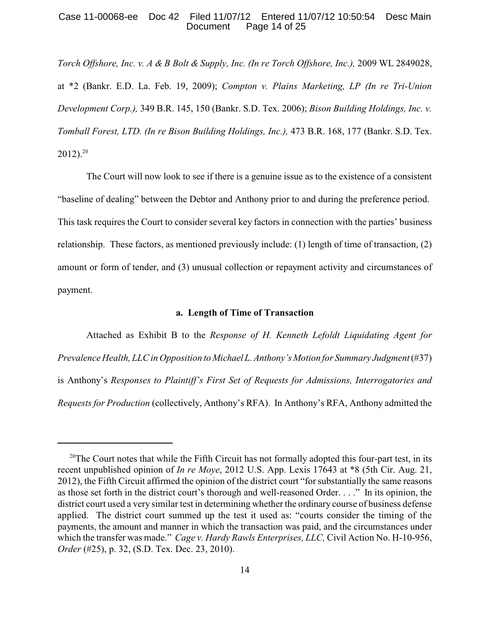#### Case 11-00068-ee Doc 42 Filed 11/07/12 Entered 11/07/12 10:50:54 Desc Main Page 14 of 25

*Torch Offshore, Inc. v. A & B Bolt & Supply, Inc. (In re Torch Offshore, Inc.),* 2009 WL 2849028, at \*2 (Bankr. E.D. La. Feb. 19, 2009); *Compton v. Plains Marketing, LP (In re Tri-Union Development Corp.),* 349 B.R. 145, 150 (Bankr. S.D. Tex. 2006); *Bison Building Holdings, Inc. v. Tomball Forest, LTD. (In re Bison Building Holdings, Inc.),* 473 B.R. 168, 177 (Bankr. S.D. Tex.  $2012$ ).<sup>20</sup>

The Court will now look to see if there is a genuine issue as to the existence of a consistent "baseline of dealing" between the Debtor and Anthony prior to and during the preference period. This task requires the Court to consider several key factors in connection with the parties' business relationship. These factors, as mentioned previously include: (1) length of time of transaction, (2) amount or form of tender, and (3) unusual collection or repayment activity and circumstances of payment.

## **a. Length of Time of Transaction**

Attached as Exhibit B to the *Response of H. Kenneth Lefoldt Liquidating Agent for Prevalence Health, LLCin Opposition to Michael L.Anthony'sMotion for Summary Judgment*(#37) is Anthony's *Responses to Plaintiff's First Set of Requests for Admissions, Interrogatories and Requests for Production* (collectively, Anthony's RFA). In Anthony's RFA, Anthony admitted the

<sup>&</sup>lt;sup>20</sup>The Court notes that while the Fifth Circuit has not formally adopted this four-part test, in its recent unpublished opinion of *In re Moye*, 2012 U.S. App. Lexis 17643 at \*8 (5th Cir. Aug. 21, 2012), the Fifth Circuit affirmed the opinion of the district court "for substantially the same reasons as those set forth in the district court's thorough and well-reasoned Order. . . ." In its opinion, the district court used a very similar test in determining whether the ordinary course of business defense applied. The district court summed up the test it used as: "courts consider the timing of the payments, the amount and manner in which the transaction was paid, and the circumstances under which the transfer was made." *Cage v. Hardy Rawls Enterprises, LLC,* Civil Action No. H-10-956, *Order* (#25), p. 32, (S.D. Tex. Dec. 23, 2010).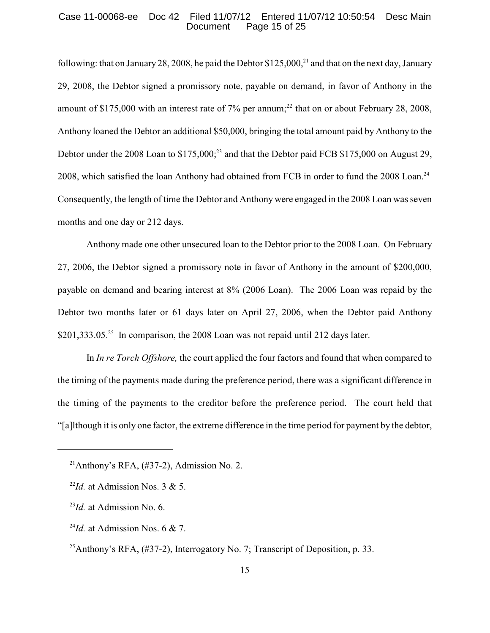#### Case 11-00068-ee Doc 42 Filed 11/07/12 Entered 11/07/12 10:50:54 Desc Main Page 15 of 25

following: that on January 28, 2008, he paid the Debtor \$125,000,<sup>21</sup> and that on the next day, January 29, 2008, the Debtor signed a promissory note, payable on demand, in favor of Anthony in the amount of \$175,000 with an interest rate of 7% per annum;<sup>22</sup> that on or about February 28, 2008, Anthony loaned the Debtor an additional \$50,000, bringing the total amount paid by Anthony to the Debtor under the 2008 Loan to  $$175,000$ ;<sup>23</sup> and that the Debtor paid FCB  $$175,000$  on August 29, 2008, which satisfied the loan Anthony had obtained from FCB in order to fund the 2008 Loan.<sup>24</sup> Consequently, the length of time the Debtor and Anthony were engaged in the 2008 Loan was seven months and one day or 212 days.

Anthony made one other unsecured loan to the Debtor prior to the 2008 Loan. On February 27, 2006, the Debtor signed a promissory note in favor of Anthony in the amount of \$200,000, payable on demand and bearing interest at 8% (2006 Loan). The 2006 Loan was repaid by the Debtor two months later or 61 days later on April 27, 2006, when the Debtor paid Anthony \$201,333.05.<sup>25</sup> In comparison, the 2008 Loan was not repaid until 212 days later.

In *In re Torch Offshore,* the court applied the four factors and found that when compared to the timing of the payments made during the preference period, there was a significant difference in the timing of the payments to the creditor before the preference period. The court held that "[a]lthough it is only one factor, the extreme difference in the time period for payment by the debtor,

<sup>&</sup>lt;sup>21</sup>Anthony's RFA,  $(\#37-2)$ , Admission No. 2.

 $\frac{22}{d}$ . at Admission Nos. 3 & 5.

 $^{23}$ *Id.* at Admission No. 6.

 $^{24}$ *Id.* at Admission Nos. 6 & 7.

<sup>&</sup>lt;sup>25</sup> Anthony's RFA,  $(\#37-2)$ , Interrogatory No. 7; Transcript of Deposition, p. 33.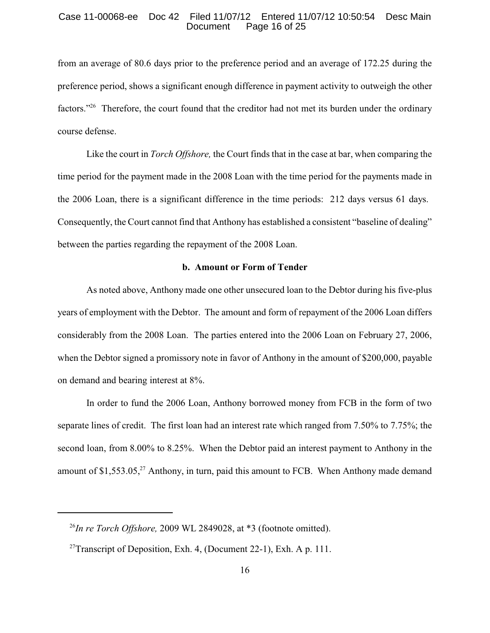#### Case 11-00068-ee Doc 42 Filed 11/07/12 Entered 11/07/12 10:50:54 Desc Main<br>Document Page 16 of 25 Page 16 of 25

from an average of 80.6 days prior to the preference period and an average of 172.25 during the preference period, shows a significant enough difference in payment activity to outweigh the other factors."<sup>26</sup> Therefore, the court found that the creditor had not met its burden under the ordinary course defense.

Like the court in *Torch Offshore,* the Court finds that in the case at bar, when comparing the time period for the payment made in the 2008 Loan with the time period for the payments made in the 2006 Loan, there is a significant difference in the time periods: 212 days versus 61 days. Consequently, the Court cannot find that Anthony has established a consistent "baseline of dealing" between the parties regarding the repayment of the 2008 Loan.

#### **b. Amount or Form of Tender**

As noted above, Anthony made one other unsecured loan to the Debtor during his five-plus years of employment with the Debtor. The amount and form of repayment of the 2006 Loan differs considerably from the 2008 Loan. The parties entered into the 2006 Loan on February 27, 2006, when the Debtor signed a promissory note in favor of Anthony in the amount of \$200,000, payable on demand and bearing interest at 8%.

In order to fund the 2006 Loan, Anthony borrowed money from FCB in the form of two separate lines of credit. The first loan had an interest rate which ranged from 7.50% to 7.75%; the second loan, from 8.00% to 8.25%. When the Debtor paid an interest payment to Anthony in the amount of  $$1,553.05$ ,<sup>27</sup> Anthony, in turn, paid this amount to FCB. When Anthony made demand

 $\frac{^{26}In}{^{26}In}$  *re Torch Offshore,* 2009 WL 2849028, at  $*3$  (footnote omitted).

<sup>&</sup>lt;sup>27</sup> Transcript of Deposition, Exh. 4, (Document 22-1), Exh. A p. 111.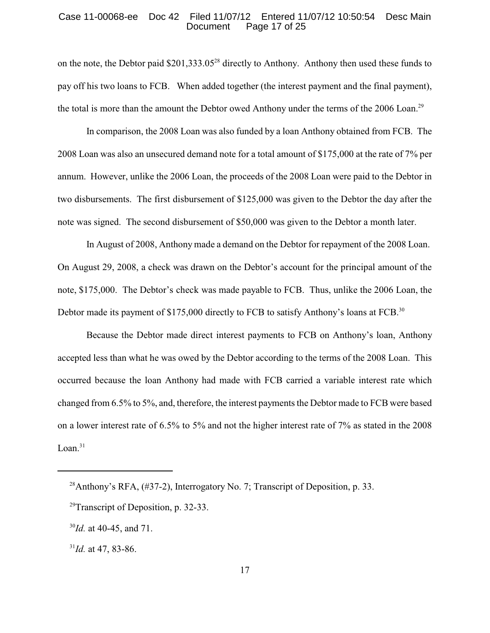#### Case 11-00068-ee Doc 42 Filed 11/07/12 Entered 11/07/12 10:50:54 Desc Main<br>Document Page 17 of 25 Page 17 of 25

on the note, the Debtor paid  $$201,333.05^{28}$  directly to Anthony. Anthony then used these funds to pay off his two loans to FCB. When added together (the interest payment and the final payment), the total is more than the amount the Debtor owed Anthony under the terms of the 2006 Loan.<sup>29</sup>

In comparison, the 2008 Loan was also funded by a loan Anthony obtained from FCB. The 2008 Loan was also an unsecured demand note for a total amount of \$175,000 at the rate of 7% per annum. However, unlike the 2006 Loan, the proceeds of the 2008 Loan were paid to the Debtor in two disbursements. The first disbursement of \$125,000 was given to the Debtor the day after the note was signed. The second disbursement of \$50,000 was given to the Debtor a month later.

In August of 2008, Anthony made a demand on the Debtor for repayment of the 2008 Loan. On August 29, 2008, a check was drawn on the Debtor's account for the principal amount of the note, \$175,000. The Debtor's check was made payable to FCB. Thus, unlike the 2006 Loan, the Debtor made its payment of \$175,000 directly to FCB to satisfy Anthony's loans at FCB.<sup>30</sup>

Because the Debtor made direct interest payments to FCB on Anthony's loan, Anthony accepted less than what he was owed by the Debtor according to the terms of the 2008 Loan. This occurred because the loan Anthony had made with FCB carried a variable interest rate which changed from 6.5% to 5%, and, therefore, the interest payments the Debtor made to FCB were based on a lower interest rate of 6.5% to 5% and not the higher interest rate of 7% as stated in the 2008 Loan. $31$ 

<sup>&</sup>lt;sup>28</sup> Anthony's RFA,  $(\#37-2)$ , Interrogatory No. 7; Transcript of Deposition, p. 33.

<sup>&</sup>lt;sup>29</sup>Transcript of Deposition, p. 32-33.

 $^{30}$ *Id.* at 40-45, and 71.

 $^{31}$ *Id.* at 47, 83-86.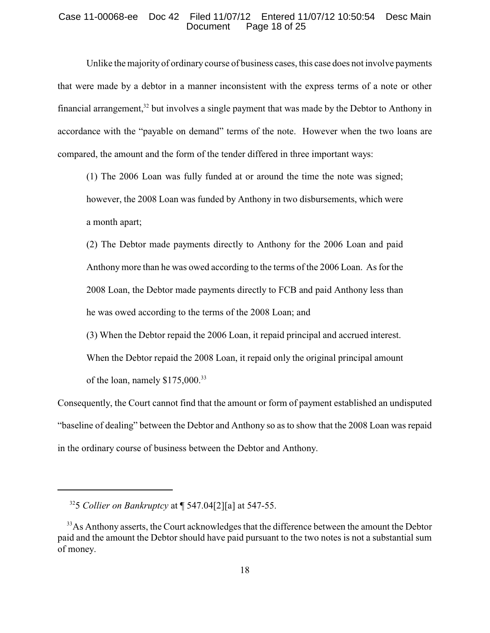## Case 11-00068-ee Doc 42 Filed 11/07/12 Entered 11/07/12 10:50:54 Desc Main<br>Document Page 18 of 25 Page 18 of 25

Unlike the majority of ordinary course of business cases, this case does not involve payments that were made by a debtor in a manner inconsistent with the express terms of a note or other financial arrangement, $32$  but involves a single payment that was made by the Debtor to Anthony in accordance with the "payable on demand" terms of the note. However when the two loans are compared, the amount and the form of the tender differed in three important ways:

(1) The 2006 Loan was fully funded at or around the time the note was signed; however, the 2008 Loan was funded by Anthony in two disbursements, which were a month apart;

(2) The Debtor made payments directly to Anthony for the 2006 Loan and paid Anthonymore than he was owed according to the terms of the 2006 Loan. As for the 2008 Loan, the Debtor made payments directly to FCB and paid Anthony less than he was owed according to the terms of the 2008 Loan; and

(3) When the Debtor repaid the 2006 Loan, it repaid principal and accrued interest. When the Debtor repaid the 2008 Loan, it repaid only the original principal amount of the loan, namely \$175,000.<sup>33</sup>

Consequently, the Court cannot find that the amount or form of payment established an undisputed "baseline of dealing" between the Debtor and Anthony so as to show that the 2008 Loan was repaid in the ordinary course of business between the Debtor and Anthony.

<sup>&</sup>lt;sup>32</sup>5 *Collier on Bankruptcy* at  $\llbracket$  547.04[2][a] at 547-55.

<sup>&</sup>lt;sup>33</sup>As Anthony asserts, the Court acknowledges that the difference between the amount the Debtor paid and the amount the Debtor should have paid pursuant to the two notes is not a substantial sum of money.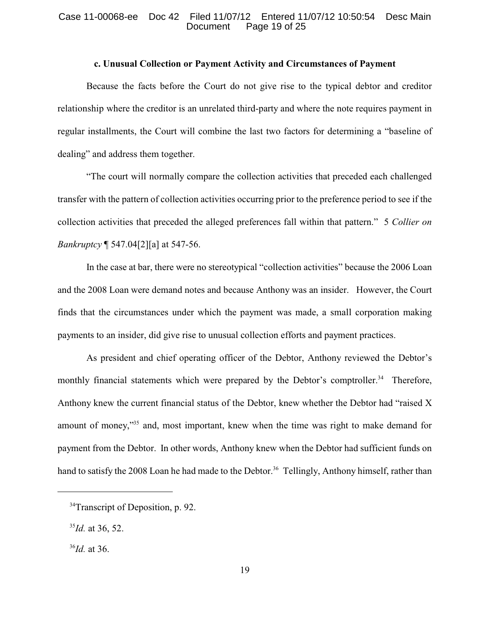### Case 11-00068-ee Doc 42 Filed 11/07/12 Entered 11/07/12 10:50:54 Desc Main<br>Document Page 19 of 25 Page 19 of 25

## **c. Unusual Collection or Payment Activity and Circumstances of Payment**

Because the facts before the Court do not give rise to the typical debtor and creditor relationship where the creditor is an unrelated third-party and where the note requires payment in regular installments, the Court will combine the last two factors for determining a "baseline of dealing" and address them together.

"The court will normally compare the collection activities that preceded each challenged transfer with the pattern of collection activities occurring prior to the preference period to see if the collection activities that preceded the alleged preferences fall within that pattern." 5 *Collier on Bankruptcy* ¶ 547.04[2][a] at 547-56.

In the case at bar, there were no stereotypical "collection activities" because the 2006 Loan and the 2008 Loan were demand notes and because Anthony was an insider. However, the Court finds that the circumstances under which the payment was made, a small corporation making payments to an insider, did give rise to unusual collection efforts and payment practices.

As president and chief operating officer of the Debtor, Anthony reviewed the Debtor's monthly financial statements which were prepared by the Debtor's comptroller.<sup>34</sup> Therefore, Anthony knew the current financial status of the Debtor, knew whether the Debtor had "raised X amount of money, $\frac{355}{35}$  and, most important, knew when the time was right to make demand for payment from the Debtor. In other words, Anthony knew when the Debtor had sufficient funds on hand to satisfy the 2008 Loan he had made to the Debtor.<sup>36</sup> Tellingly, Anthony himself, rather than

 $34$ Transcript of Deposition, p. 92.

 $^{35}$ *Id.* at 36, 52.

 $^{36}$ *Id.* at 36.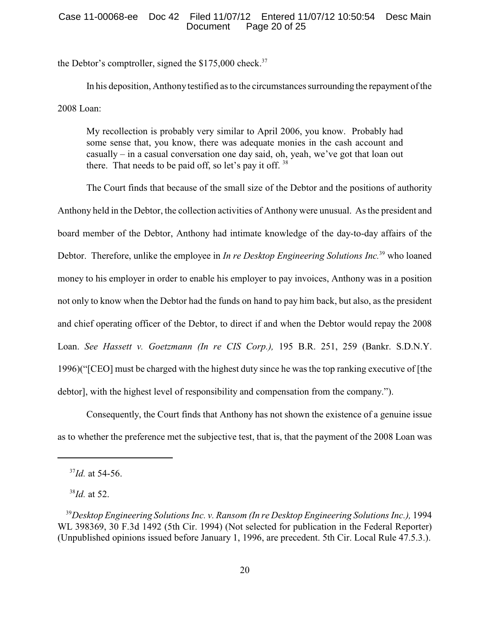## Case 11-00068-ee Doc 42 Filed 11/07/12 Entered 11/07/12 10:50:54 Desc Main Page 20 of 25

the Debtor's comptroller, signed the  $$175,000$  check.<sup>37</sup>

In his deposition, Anthony testified as to the circumstances surrounding the repayment of the 2008 Loan:

My recollection is probably very similar to April 2006, you know. Probably had some sense that, you know, there was adequate monies in the cash account and casually – in a casual conversation one day said, oh, yeah, we've got that loan out there. That needs to be paid off, so let's pay it off.  $38$ 

The Court finds that because of the small size of the Debtor and the positions of authority Anthony held in the Debtor, the collection activities of Anthony were unusual. As the president and board member of the Debtor, Anthony had intimate knowledge of the day-to-day affairs of the Debtor. Therefore, unlike the employee in *In re Desktop Engineering Solutions Inc.*<sup>39</sup> who loaned money to his employer in order to enable his employer to pay invoices, Anthony was in a position not only to know when the Debtor had the funds on hand to pay him back, but also, as the president and chief operating officer of the Debtor, to direct if and when the Debtor would repay the 2008 Loan. *See Hassett v. Goetzmann (In re CIS Corp.),* 195 B.R. 251, 259 (Bankr. S.D.N.Y. 1996)("[CEO] must be charged with the highest duty since he was the top ranking executive of [the debtor], with the highest level of responsibility and compensation from the company.").

Consequently, the Court finds that Anthony has not shown the existence of a genuine issue as to whether the preference met the subjective test, that is, that the payment of the 2008 Loan was

 $^{38}$ *Id.* at 52.

 $37$ *Id.* at 54-56.

<sup>&</sup>lt;sup>39</sup> Desktop Engineering Solutions Inc. v. Ransom (In re Desktop Engineering Solutions Inc.), 1994 WL 398369, 30 F.3d 1492 (5th Cir. 1994) (Not selected for publication in the Federal Reporter) (Unpublished opinions issued before January 1, 1996, are precedent. 5th Cir. Local Rule 47.5.3.).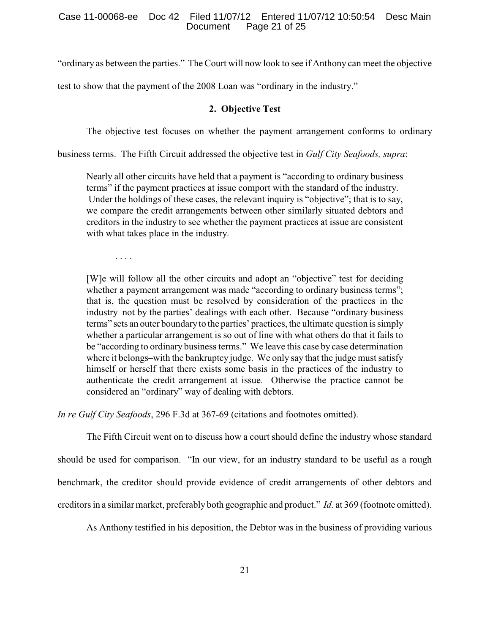"ordinary as between the parties." The Court will now look to see if Anthony can meet the objective

test to show that the payment of the 2008 Loan was "ordinary in the industry."

## **2. Objective Test**

The objective test focuses on whether the payment arrangement conforms to ordinary

business terms. The Fifth Circuit addressed the objective test in *Gulf City Seafoods, supra*:

Nearly all other circuits have held that a payment is "according to ordinary business terms" if the payment practices at issue comport with the standard of the industry. Under the holdings of these cases, the relevant inquiry is "objective"; that is to say, we compare the credit arrangements between other similarly situated debtors and creditors in the industry to see whether the payment practices at issue are consistent with what takes place in the industry.

. . . .

[W]e will follow all the other circuits and adopt an "objective" test for deciding whether a payment arrangement was made "according to ordinary business terms"; that is, the question must be resolved by consideration of the practices in the industry–not by the parties' dealings with each other. Because "ordinary business terms" sets an outer boundaryto the parties' practices, the ultimate question is simply whether a particular arrangement is so out of line with what others do that it fails to be "according to ordinary business terms." We leave this case by case determination where it belongs–with the bankruptcy judge. We only say that the judge must satisfy himself or herself that there exists some basis in the practices of the industry to authenticate the credit arrangement at issue. Otherwise the practice cannot be considered an "ordinary" way of dealing with debtors.

*In re Gulf City Seafoods*, 296 F.3d at 367-69 (citations and footnotes omitted).

The Fifth Circuit went on to discuss how a court should define the industry whose standard should be used for comparison. "In our view, for an industry standard to be useful as a rough benchmark, the creditor should provide evidence of credit arrangements of other debtors and creditors in a similar market, preferably both geographic and product." *Id.* at 369 (footnote omitted).

As Anthony testified in his deposition, the Debtor was in the business of providing various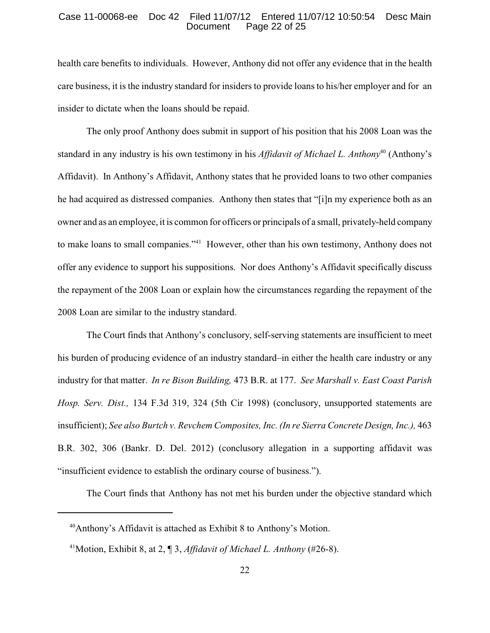#### Case 11-00068-ee Doc 42 Filed 11/07/12 Entered 11/07/12 10:50:54 Desc Main<br>Document Page 22 of 25 Page 22 of 25

health care benefits to individuals. However, Anthony did not offer any evidence that in the health care business, it is the industry standard for insiders to provide loans to his/her employer and for an insider to dictate when the loans should be repaid.

The only proof Anthony does submit in support of his position that his 2008 Loan was the standard in any industry is his own testimony in his *Affidavit of Michael L. Anthony*<sup>40</sup> (Anthony's Affidavit). In Anthony's Affidavit, Anthony states that he provided loans to two other companies he had acquired as distressed companies. Anthony then states that "[i]n my experience both as an owner and as an employee, it is common for officers or principals of a small, privately-held company to make loans to small companies."<sup>41</sup> However, other than his own testimony, Anthony does not offer any evidence to support his suppositions. Nor does Anthony's Affidavit specifically discuss the repayment of the 2008 Loan or explain how the circumstances regarding the repayment of the 2008 Loan are similar to the industry standard.

The Court finds that Anthony's conclusory, self-serving statements are insufficient to meet his burden of producing evidence of an industry standard–in either the health care industry or any industry for that matter. *In re Bison Building,* 473 B.R. at 177. *See Marshall v. East Coast Parish Hosp. Serv. Dist.,* 134 F.3d 319, 324 (5th Cir 1998) (conclusory, unsupported statements are insufficient); *See also Burtch v. Revchem Composites, Inc. (In re Sierra Concrete Design, Inc.),* 463 B.R. 302, 306 (Bankr. D. Del. 2012) (conclusory allegation in a supporting affidavit was "insufficient evidence to establish the ordinary course of business.").

The Court finds that Anthony has not met his burden under the objective standard which

 $40$ Anthony's Affidavit is attached as Exhibit 8 to Anthony's Motion.

<sup>&</sup>lt;sup>41</sup>Motion, Exhibit 8, at 2, ¶ 3, *Affidavit of Michael L. Anthony* (#26-8).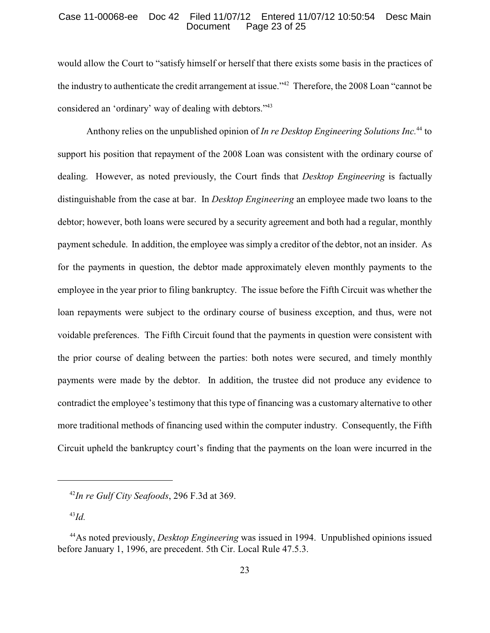### Case 11-00068-ee Doc 42 Filed 11/07/12 Entered 11/07/12 10:50:54 Desc Main<br>Document Page 23 of 25 Page 23 of 25

would allow the Court to "satisfy himself or herself that there exists some basis in the practices of the industry to authenticate the credit arrangement at issue." Therefore, the 2008 Loan "cannot be considered an 'ordinary' way of dealing with debtors."<sup>43</sup>

Anthony relies on the unpublished opinion of *In re Desktop Engineering Solutions Inc.*<sup>44</sup> to support his position that repayment of the 2008 Loan was consistent with the ordinary course of dealing. However, as noted previously, the Court finds that *Desktop Engineering* is factually distinguishable from the case at bar. In *Desktop Engineering* an employee made two loans to the debtor; however, both loans were secured by a security agreement and both had a regular, monthly payment schedule. In addition, the employee was simply a creditor of the debtor, not an insider. As for the payments in question, the debtor made approximately eleven monthly payments to the employee in the year prior to filing bankruptcy. The issue before the Fifth Circuit was whether the loan repayments were subject to the ordinary course of business exception, and thus, were not voidable preferences. The Fifth Circuit found that the payments in question were consistent with the prior course of dealing between the parties: both notes were secured, and timely monthly payments were made by the debtor. In addition, the trustee did not produce any evidence to contradict the employee's testimony that this type of financing was a customary alternative to other more traditional methods of financing used within the computer industry. Consequently, the Fifth Circuit upheld the bankruptcy court's finding that the payments on the loan were incurred in the

 $^{43}Id.$ 

<sup>&</sup>lt;sup>42</sup>In re Gulf City Seafoods, 296 F.3d at 369.

<sup>&</sup>lt;sup>44</sup> As noted previously, *Desktop Engineering* was issued in 1994. Unpublished opinions issued before January 1, 1996, are precedent. 5th Cir. Local Rule 47.5.3.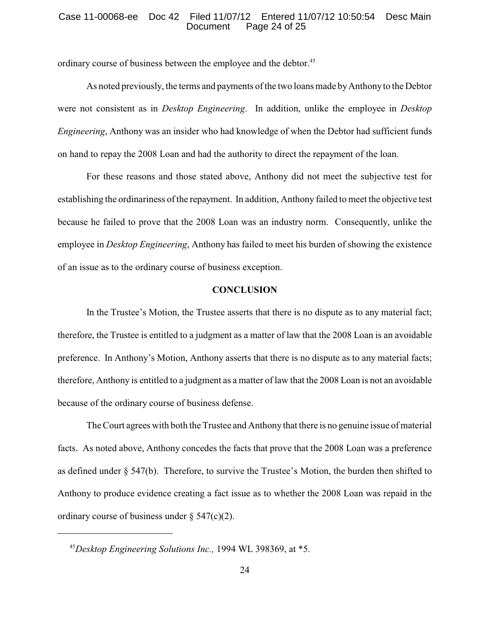#### Case 11-00068-ee Doc 42 Filed 11/07/12 Entered 11/07/12 10:50:54 Desc Main<br>Document Page 24 of 25 Page 24 of 25

ordinary course of business between the employee and the debtor.<sup>45</sup>

As noted previously, the terms and payments of the two loans made byAnthonyto the Debtor were not consistent as in *Desktop Engineering*. In addition, unlike the employee in *Desktop Engineering*, Anthony was an insider who had knowledge of when the Debtor had sufficient funds on hand to repay the 2008 Loan and had the authority to direct the repayment of the loan.

For these reasons and those stated above, Anthony did not meet the subjective test for establishing the ordinariness of the repayment. In addition, Anthony failed to meet the objective test because he failed to prove that the 2008 Loan was an industry norm. Consequently, unlike the employee in *Desktop Engineering*, Anthony has failed to meet his burden of showing the existence of an issue as to the ordinary course of business exception.

# **CONCLUSION**

In the Trustee's Motion, the Trustee asserts that there is no dispute as to any material fact; therefore, the Trustee is entitled to a judgment as a matter of law that the 2008 Loan is an avoidable preference. In Anthony's Motion, Anthony asserts that there is no dispute as to any material facts; therefore, Anthony is entitled to a judgment as a matter of law that the 2008 Loan is not an avoidable because of the ordinary course of business defense.

The Court agrees with both the Trustee and Anthony that there is no genuine issue of material facts. As noted above, Anthony concedes the facts that prove that the 2008 Loan was a preference as defined under § 547(b). Therefore, to survive the Trustee's Motion, the burden then shifted to Anthony to produce evidence creating a fact issue as to whether the 2008 Loan was repaid in the ordinary course of business under  $\S$  547(c)(2).

<sup>&</sup>lt;sup>45</sup>Desktop Engineering Solutions Inc., 1994 WL 398369, at \*5.